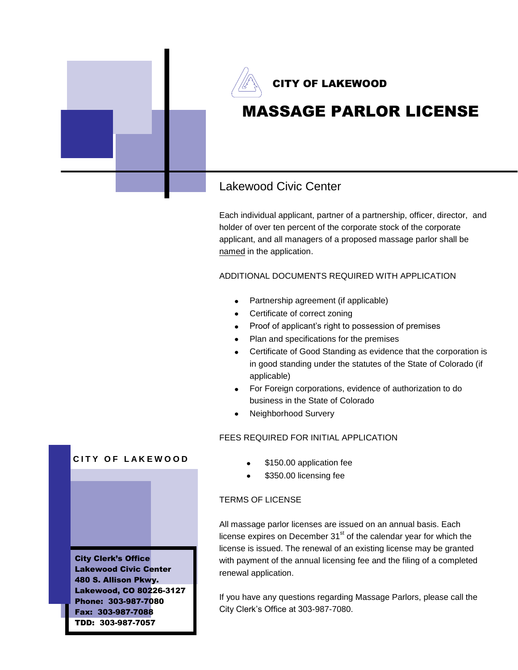

Each individual applicant, partner of a partnership, officer, director, and holder of over ten percent of the corporate stock of the corporate applicant, and all managers of a proposed massage parlor shall be named in the application.

ADDITIONAL DOCUMENTS REQUIRED WITH APPLICATION

- Partnership agreement (if applicable)
- Certificate of correct zoning
- Proof of applicant's right to possession of premises  $\bullet$
- Plan and specifications for the premises
- Certificate of Good Standing as evidence that the corporation is in good standing under the statutes of the State of Colorado (if applicable)
- For Foreign corporations, evidence of authorization to do business in the State of Colorado
- Neighborhood Survery

## FEES REQUIRED FOR INITIAL APPLICATION

- \$150.00 application fee
- \$350.00 licensing fee

## TERMS OF LICENSE

All massage parlor licenses are issued on an annual basis. Each license expires on December  $31<sup>st</sup>$  of the calendar year for which the license is issued. The renewal of an existing license may be granted with payment of the annual licensing fee and the filing of a completed renewal application.

If you have any questions regarding Massage Parlors, please call the City Clerk's Office at 303-987-7080.



**CITY OF LAKEWOOD** 

City Clerk's Office Lakewood Civic Center 480 S. Allison Pkwy. Lakewood, CO 80226-3127 Phone: 303-987-7080 Fax: 303-987-7088 TDD: 303-987-7057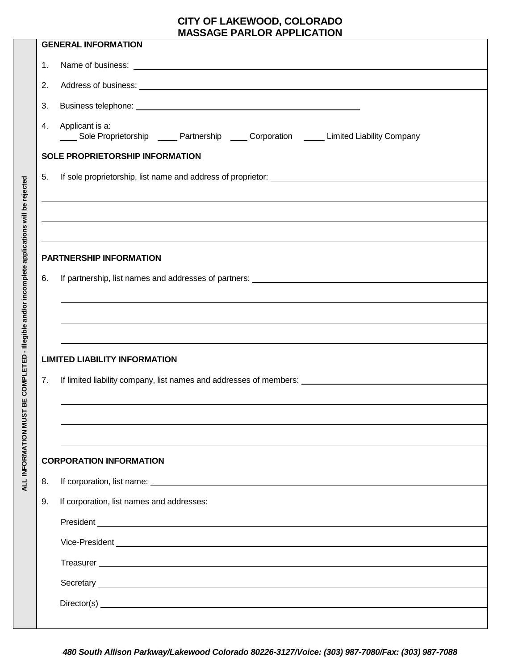## **CITY OF LAKEWOOD, COLORADO MASSAGE PARLOR APPLICATION**

| <b>GENERAL INFORMATION</b>     |                                                                                                                                                                                                                                      |  |  |  |  |  |
|--------------------------------|--------------------------------------------------------------------------------------------------------------------------------------------------------------------------------------------------------------------------------------|--|--|--|--|--|
| 1.                             |                                                                                                                                                                                                                                      |  |  |  |  |  |
| 2.                             |                                                                                                                                                                                                                                      |  |  |  |  |  |
| 3.                             | Business telephone: <u>example and the set of the set of the set of the set of the set of the set of the set of the set of the set of the set of the set of the set of the set of the set of the set of the set of the set of th</u> |  |  |  |  |  |
| 4.                             | Applicant is a:<br>_____ Sole Proprietorship ______ Partnership _____ Corporation ______ Limited Liability Company                                                                                                                   |  |  |  |  |  |
|                                | SOLE PROPRIETORSHIP INFORMATION                                                                                                                                                                                                      |  |  |  |  |  |
| 5.                             |                                                                                                                                                                                                                                      |  |  |  |  |  |
|                                |                                                                                                                                                                                                                                      |  |  |  |  |  |
|                                |                                                                                                                                                                                                                                      |  |  |  |  |  |
|                                |                                                                                                                                                                                                                                      |  |  |  |  |  |
| <b>PARTNERSHIP INFORMATION</b> |                                                                                                                                                                                                                                      |  |  |  |  |  |
| 6.                             |                                                                                                                                                                                                                                      |  |  |  |  |  |
|                                |                                                                                                                                                                                                                                      |  |  |  |  |  |
|                                |                                                                                                                                                                                                                                      |  |  |  |  |  |
|                                |                                                                                                                                                                                                                                      |  |  |  |  |  |
|                                | <b>LIMITED LIABILITY INFORMATION</b>                                                                                                                                                                                                 |  |  |  |  |  |
| 7.                             |                                                                                                                                                                                                                                      |  |  |  |  |  |
|                                |                                                                                                                                                                                                                                      |  |  |  |  |  |
|                                |                                                                                                                                                                                                                                      |  |  |  |  |  |
|                                |                                                                                                                                                                                                                                      |  |  |  |  |  |
|                                | <b>CORPORATION INFORMATION</b>                                                                                                                                                                                                       |  |  |  |  |  |
| 8.                             |                                                                                                                                                                                                                                      |  |  |  |  |  |
| 9.                             | If corporation, list names and addresses:                                                                                                                                                                                            |  |  |  |  |  |
|                                |                                                                                                                                                                                                                                      |  |  |  |  |  |
|                                |                                                                                                                                                                                                                                      |  |  |  |  |  |
|                                |                                                                                                                                                                                                                                      |  |  |  |  |  |
|                                | Secretary <u>experience</u> and the contract of the contract of the contract of the contract of the contract of the contract of the contract of the contract of the contract of the contract of the contract of the contract of the  |  |  |  |  |  |
|                                |                                                                                                                                                                                                                                      |  |  |  |  |  |
|                                |                                                                                                                                                                                                                                      |  |  |  |  |  |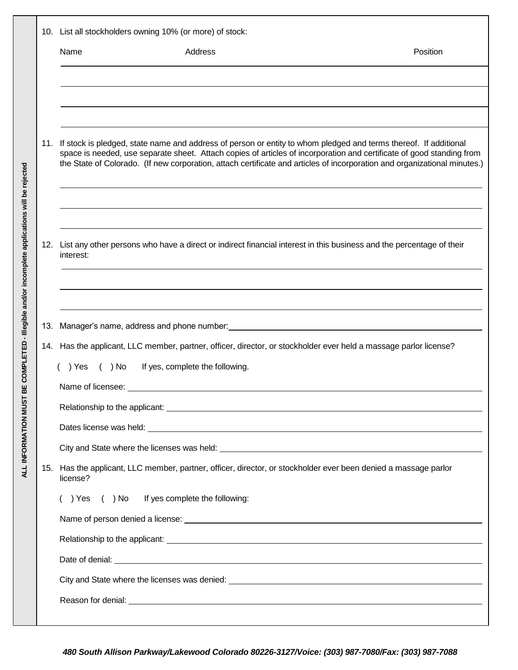|     | 10. List all stockholders owning 10% (or more) of stock:                                                                                                                                                                                                                                                                                                                   |          |  |  |
|-----|----------------------------------------------------------------------------------------------------------------------------------------------------------------------------------------------------------------------------------------------------------------------------------------------------------------------------------------------------------------------------|----------|--|--|
|     | Address<br>Name                                                                                                                                                                                                                                                                                                                                                            | Position |  |  |
|     |                                                                                                                                                                                                                                                                                                                                                                            |          |  |  |
|     |                                                                                                                                                                                                                                                                                                                                                                            |          |  |  |
|     | 11. If stock is pledged, state name and address of person or entity to whom pledged and terms thereof. If additional<br>space is needed, use separate sheet. Attach copies of articles of incorporation and certificate of good standing from<br>the State of Colorado. (If new corporation, attach certificate and articles of incorporation and organizational minutes.) |          |  |  |
|     |                                                                                                                                                                                                                                                                                                                                                                            |          |  |  |
|     | 12. List any other persons who have a direct or indirect financial interest in this business and the percentage of their<br>interest:                                                                                                                                                                                                                                      |          |  |  |
|     |                                                                                                                                                                                                                                                                                                                                                                            |          |  |  |
| 13. | Manager's name, address and phone number:                                                                                                                                                                                                                                                                                                                                  |          |  |  |
|     | 14. Has the applicant, LLC member, partner, officer, director, or stockholder ever held a massage parlor license?<br>If yes, complete the following.<br>) Yes ( ) No                                                                                                                                                                                                       |          |  |  |
|     | Name of licensee:                                                                                                                                                                                                                                                                                                                                                          |          |  |  |
|     |                                                                                                                                                                                                                                                                                                                                                                            |          |  |  |
|     |                                                                                                                                                                                                                                                                                                                                                                            |          |  |  |
|     |                                                                                                                                                                                                                                                                                                                                                                            |          |  |  |
| 15. | Has the applicant, LLC member, partner, officer, director, or stockholder ever been denied a massage parlor<br>license?                                                                                                                                                                                                                                                    |          |  |  |
|     | () Yes () No If yes complete the following:                                                                                                                                                                                                                                                                                                                                |          |  |  |
|     |                                                                                                                                                                                                                                                                                                                                                                            |          |  |  |
|     |                                                                                                                                                                                                                                                                                                                                                                            |          |  |  |
|     |                                                                                                                                                                                                                                                                                                                                                                            |          |  |  |
|     |                                                                                                                                                                                                                                                                                                                                                                            |          |  |  |
|     | Reason for denial: <u>contract and contract and contract and contract and contract and contract and contract and contract and contract and contract and contract and contract and contract and contract and contract and contrac</u>                                                                                                                                       |          |  |  |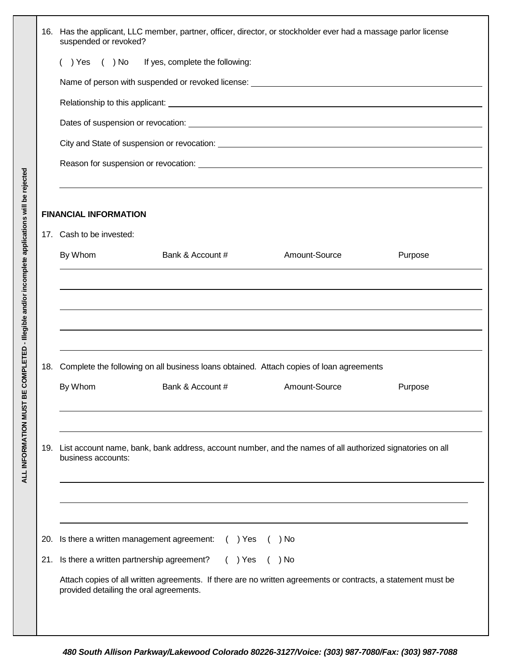|            | 16. Has the applicant, LLC member, partner, officer, director, or stockholder ever had a massage parlor license<br>suspended or revoked?                                                                                                                                                        |  |  |  |  |  |  |
|------------|-------------------------------------------------------------------------------------------------------------------------------------------------------------------------------------------------------------------------------------------------------------------------------------------------|--|--|--|--|--|--|
|            | () Yes () No If yes, complete the following:                                                                                                                                                                                                                                                    |  |  |  |  |  |  |
|            |                                                                                                                                                                                                                                                                                                 |  |  |  |  |  |  |
|            |                                                                                                                                                                                                                                                                                                 |  |  |  |  |  |  |
|            |                                                                                                                                                                                                                                                                                                 |  |  |  |  |  |  |
|            |                                                                                                                                                                                                                                                                                                 |  |  |  |  |  |  |
|            | Reason for suspension or revocation: Network and the state of the state of the state of the state of the state of the state of the state of the state of the state of the state of the state of the state of the state of the                                                                   |  |  |  |  |  |  |
|            | <b>FINANCIAL INFORMATION</b>                                                                                                                                                                                                                                                                    |  |  |  |  |  |  |
|            | 17. Cash to be invested:                                                                                                                                                                                                                                                                        |  |  |  |  |  |  |
|            | Amount-Source<br>By Whom<br>Bank & Account #<br>Purpose                                                                                                                                                                                                                                         |  |  |  |  |  |  |
| 18.        | Complete the following on all business loans obtained. Attach copies of loan agreements<br>By Whom<br>Bank & Account #<br>Amount-Source<br>Purpose                                                                                                                                              |  |  |  |  |  |  |
|            | 19. List account name, bank, bank address, account number, and the names of all authorized signatories on all<br>business accounts:                                                                                                                                                             |  |  |  |  |  |  |
| 20.<br>21. | Is there a written management agreement:<br>$( )$ Yes<br>) No<br>Is there a written partnership agreement?<br>$( )$ Yes<br>$( )$ No<br>Attach copies of all written agreements. If there are no written agreements or contracts, a statement must be<br>provided detailing the oral agreements. |  |  |  |  |  |  |
|            |                                                                                                                                                                                                                                                                                                 |  |  |  |  |  |  |

**ALL INFORMATION MUST BE COMPLETED - Illegible and/or incomplete applications will be rejected**

ALL INFORMATION MUST BE COMPLETED - Illegible and/or incomplete applications will be rejected